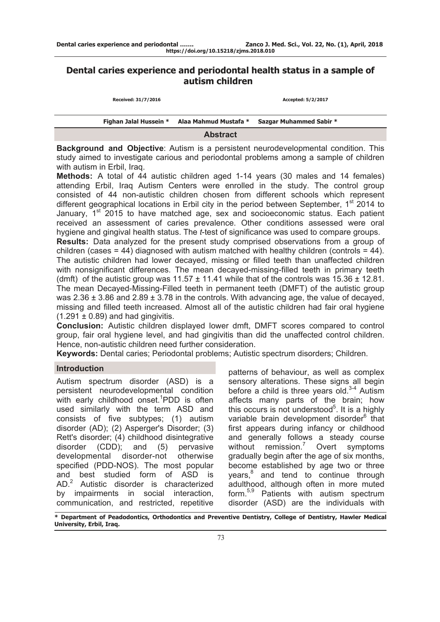# **Dental caries experience and periodontal health status in a sample of autism children**

| Received: 31/7/2016 | Accepted: 5/2/2017                                                   |  |  |  |  |  |
|---------------------|----------------------------------------------------------------------|--|--|--|--|--|
|                     | Fighan Jalal Hussein * Alaa Mahmud Mustafa * Sazgar Muhammed Sabir * |  |  |  |  |  |
|                     |                                                                      |  |  |  |  |  |

**Abstract** 

**Background and Objective**: Autism is a persistent neurodevelopmental condition. This study aimed to investigate carious and periodontal problems among a sample of children with autism in Erbil, Iraq.

**Methods:** A total of 44 autistic children aged 1-14 years (30 males and 14 females) attending Erbil, Iraq Autism Centers were enrolled in the study. The control group consisted of 44 non-autistic children chosen from different schools which represent different geographical locations in Erbil city in the period between September,  $1<sup>st</sup>$  2014 to January,  $1<sup>st</sup>$  2015 to have matched age, sex and socioeconomic status. Each patient received an assessment of caries prevalence. Other conditions assessed were oral hygiene and gingival health status. The *t*-test of significance was used to compare groups. **Results:** Data analyzed for the present study comprised observations from a group of children (cases  $= 44$ ) diagnosed with autism matched with healthy children (controls  $= 44$ ). The autistic children had lower decayed, missing or filled teeth than unaffected children with nonsignificant differences. The mean decayed-missing-filled teeth in primary teeth (dmft) of the autistic group was  $11.57 \pm 11.41$  while that of the controls was  $15.36 \pm 12.81$ . The mean Decayed-Missing-Filled teeth in permanent teeth (DMFT) of the autistic group was  $2.36 \pm 3.86$  and  $2.89 \pm 3.78$  in the controls. With advancing age, the value of decayed, missing and filled teeth increased. Almost all of the autistic children had fair oral hygiene  $(1.291 \pm 0.89)$  and had gingivitis.

**Conclusion:** Autistic children displayed lower dmft, DMFT scores compared to control group, fair oral hygiene level, and had gingivitis than did the unaffected control children. Hence, non-autistic children need further consideration.

**Keywords:** Dental caries; Periodontal problems; Autistic spectrum disorders; Children.

# **Introduction**

Autism spectrum disorder (ASD) is a persistent neurodevelopmental condition with early childhood onset.<sup>1</sup>PDD is often used similarly with the term ASD and consists of five subtypes; (1) autism disorder (AD); (2) Asperger's Disorder; (3) Rett's disorder; (4) childhood disintegrative disorder (CDD); and (5) pervasive developmental disorder-not otherwise specified (PDD-NOS). The most popular and best studied form of ASD is AD.<sup>2</sup> Autistic disorder is characterized by impairments in social interaction, communication, and restricted, repetitive

patterns of behaviour, as well as complex sensory alterations. These signs all begin before a child is three years old. $3-4$  Autism affects many parts of the brain; how this occurs is not understood $5$ . It is a highly variable brain development disorder<sup>6</sup> that first appears during infancy or childhood and generally follows a steady course without remission.<sup>7</sup> Overt symptoms gradually begin after the age of six months, become established by age two or three years,<sup>8</sup> and tend to continue through adulthood, although often in more muted form.5,9 Patients with autism spectrum disorder (ASD) are the individuals with

**\* Department of Peadodontics, Orthodontics and Preventive Dentistry, College of Dentistry, Hawler Medical University, Erbil, Iraq.**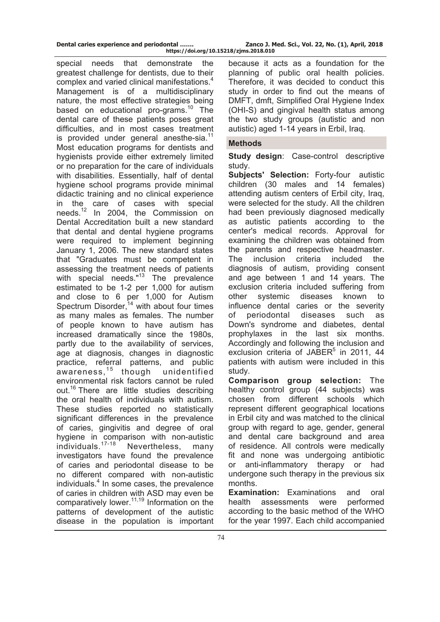special needs that demonstrate the greatest challenge for dentists, due to their complex and varied clinical manifestations.<sup>4</sup> Management is of a multidisciplinary nature, the most effective strategies being based on educational pro-grams.<sup>10</sup> The dental care of these patients poses great difficulties, and in most cases treatment is provided under general anesthe-sia.<sup>11</sup> Most education programs for dentists and hygienists provide either extremely limited or no preparation for the care of individuals with disabilities. Essentially, half of dental hygiene school programs provide minimal didactic training and no clinical experience in the care of cases with special needs.12 In 2004, the Commission on Dental Accreditation built a new standard that dental and dental hygiene programs were required to implement beginning January 1, 2006. The new standard states that "Graduates must be competent in assessing the treatment needs of patients with special needs."<sup>13</sup> The prevalence estimated to be 1-2 per 1,000 for autism and close to 6 per 1,000 for Autism Spectrum Disorder, $14$  with about four times as many males as females. The number of people known to have autism has increased dramatically since the 1980s, partly due to the availability of services, age at diagnosis, changes in diagnostic practice, referral patterns, and public awareness, $15$  though unidentified environmental risk factors cannot be ruled out.<sup>16</sup> There are little studies describing the oral health of individuals with autism. These studies reported no statistically significant differences in the prevalence of caries, gingivitis and degree of oral hygiene in comparison with non-autistic individuals.17-18 Nevertheless, many investigators have found the prevalence of caries and periodontal disease to be no different compared with non-autistic individuals.<sup>4</sup> In some cases, the prevalence of caries in children with ASD may even be comparatively lower.<sup>11,19</sup> Information on the patterns of development of the autistic disease in the population is important

because it acts as a foundation for the planning of public oral health policies. Therefore, it was decided to conduct this study in order to find out the means of DMFT, dmft, Simplified Oral Hygiene Index (OHI-S) and gingival health status among the two study groups (autistic and non autistic) aged 1-14 years in Erbil, Iraq.

# **Methods**

**Study design**: Case-control descriptive study.

**Subjects' Selection:** Forty-four autistic children (30 males and 14 females) attending autism centers of Erbil city, Iraq, were selected for the study. All the children had been previously diagnosed medically as autistic patients according to the center's medical records. Approval for examining the children was obtained from the parents and respective headmaster. The inclusion criteria included the diagnosis of autism, providing consent and age between 1 and 14 years. The exclusion criteria included suffering from other systemic diseases known to influence dental caries or the severity of periodontal diseases such as Down's syndrome and diabetes, dental prophylaxes in the last six months. Accordingly and following the inclusion and exclusion criteria of JABER<sup>5</sup> in 2011, 44 patients with autism were included in this study.

**Comparison group selection:** The healthy control group (44 subjects) was chosen from different schools which represent different geographical locations in Erbil city and was matched to the clinical group with regard to age, gender, general and dental care background and area of residence. All controls were medically fit and none was undergoing antibiotic or anti-inflammatory therapy or had undergone such therapy in the previous six months.

**Examination:** Examinations and oral health assessments were performed according to the basic method of the WHO for the year 1997. Each child accompanied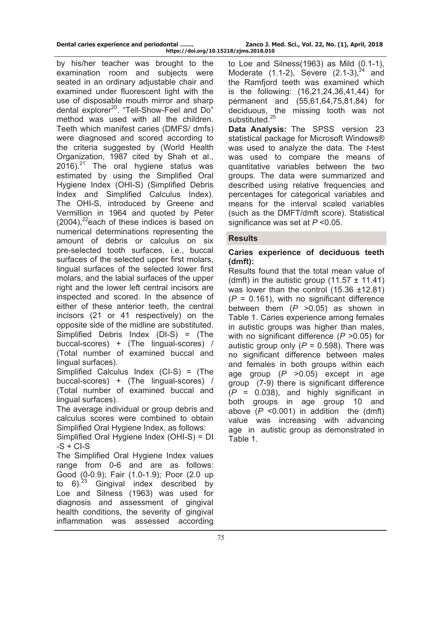**https://doi.org/10.15218/zjms.2018.010**

by his/her teacher was brought to the examination room and subjects were seated in an ordinary adjustable chair and examined under fluorescent light with the use of disposable mouth mirror and sharp dental explorer<sup>20</sup>. "Tell-Show-Feel and Do" method was used with all the children. Teeth which manifest caries (DMFS/ dmfs) were diagnosed and scored according to the criteria suggested by (World Health Organization, 1987 cited by Shah et al.,  $2016$ ).<sup>21</sup> The oral hygiene status was estimated by using the Simplified Oral Hygiene Index (OHI-S) (Simplified Debris Index and Simplified Calculus Index). The OHI-S, introduced by Greene and Vermillion in 1964 and quoted by Peter  $(2004)$ ,<sup>22</sup>each of these indices is based on numerical determinations representing the amount of debris or calculus on six pre-selected tooth surfaces, i.e., buccal surfaces of the selected upper first molars, lingual surfaces of the selected lower first molars, and the labial surfaces of the upper right and the lower left central incisors are inspected and scored. In the absence of either of these anterior teeth, the central incisors (21 or 41 respectively) on the opposite side of the midline are substituted. Simplified Debris Index (DI-S) = (The buccal-scores) + (The lingual-scores) / (Total number of examined buccal and lingual surfaces).

Simplified Calculus Index (CI-S) = (The buccal-scores) + (The lingual-scores) / (Total number of examined buccal and lingual surfaces).

The average individual or group debris and calculus scores were combined to obtain Simplified Oral Hygiene Index, as follows:

Simplified Oral Hygiene Index (OHI-S) = DI  $-S + CI-S$ 

The Simplified Oral Hygiene Index values range from 0-6 and are as follows: Good (0-0.9); Fair (1.0-1.9); Poor (2.0 up to  $6)^{23}$  Gingival index described by Loe and Silness (1963) was used for diagnosis and assessment of gingival health conditions, the severity of gingival inflammation was assessed according

to Loe and Silness(1963) as Mild (0.1-1), Moderate  $(1.1-2)$ , Severe  $(2.1-3)$ , <sup>24</sup> and the Ramfjord teeth was examined which is the following: (16,21,24,36,41,44) for permanent and (55,61,64,75,81,84) for deciduous, the missing tooth was not substituted.<sup>25</sup>

**Data Analysis:** The SPSS version 23 statistical package for Microsoft Windows® was used to analyze the data. The *t*-test was used to compare the means of quantitative variables between the two groups. The data were summarized and described using relative frequencies and percentages for categorical variables and means for the interval scaled variables (such as the DMFT/dmft score). Statistical significance was set at *P* <0.05.

## **Results**

# **Caries experience of deciduous teeth (dmft):**

Results found that the total mean value of (dmft) in the autistic group  $(11.57 \pm 11.41)$ was lower than the control (15.36 ±12.81)  $(P = 0.161)$ , with no significant difference between them (*P* >0.05) as shown in Table 1. Caries experience among females in autistic groups was higher than males, with no significant difference ( $P > 0.05$ ) for autistic group only  $(P = 0.598)$ . There was no significant difference between males and females in both groups within each age group (*P* >0.05) except in age group (7-9) there is significant difference  $(P = 0.038)$ , and highly significant in both groups in age group 10 and above  $(P \le 0.001)$  in addition the (dmft) value was increasing with advancing age in autistic group as demonstrated in Table 1.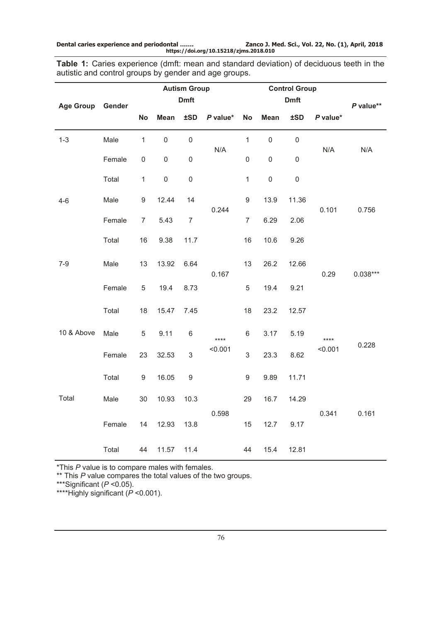**Dental caries experience and periodontal ……. Zanco J. Med. Sci., Vol. 22, No. (1), April, 2018 https://doi.org/10.15218/zjms.2018.010**

**Table 1:** Caries experience (dmft: mean and standard deviation) of deciduous teeth in the autistic and control groups by gender and age groups.

|                  |        | <b>Autism Group</b> |             |                |          |                  |             |             |                 |            |
|------------------|--------|---------------------|-------------|----------------|----------|------------------|-------------|-------------|-----------------|------------|
| Age Group Gender |        | <b>Dmft</b>         |             |                |          |                  |             | P value**   |                 |            |
|                  |        | <b>No</b>           | Mean        | ±SD            | P value* | No               | <b>Mean</b> | ±SD         | P value*        |            |
| $1 - 3$          | Male   | $\mathbf{1}$        | $\mathsf 0$ | $\mathsf 0$    | N/A      | $\mathbf{1}$     | $\mathbf 0$ | $\mathsf 0$ |                 |            |
|                  | Female | 0                   | 0           | 0              |          | $\mathsf 0$      | $\mathsf 0$ | $\mathsf 0$ | N/A             | N/A        |
|                  | Total  | $\mathbf{1}$        | $\mathsf 0$ | $\mathsf 0$    |          | $\mathbf{1}$     | $\mathsf 0$ | $\mathsf 0$ |                 |            |
| $4 - 6$          | Male   | 9                   | 12.44       | 14             | 0.244    | $\boldsymbol{9}$ | 13.9        | 11.36       | 0.101           |            |
|                  | Female | $\overline{7}$      | 5.43        | $\overline{7}$ |          | $\overline{7}$   | 6.29        | 2.06        |                 | 0.756      |
|                  | Total  | 16                  | 9.38        | 11.7           |          | 16               | 10.6        | 9.26        |                 |            |
| $7-9$            | Male   | 13                  | 13.92       | 6.64           |          | 13               | 26.2        | 12.66       |                 |            |
|                  | Female | 5                   | 19.4        | 8.73           | 0.167    | 5                | 19.4        | 9.21        | 0.29            | $0.038***$ |
|                  | Total  | 18                  | 15.47       | 7.45           |          | 18               | 23.2        | 12.57       |                 |            |
| 10 & Above       | Male   | 5                   | 9.11        | 6              | ****     | 6                | 3.17        | 5.19        | ****<br>< 0.001 |            |
|                  | Female | 23                  | 32.53       | 3              | < 0.001  | $\mathfrak{S}$   | 23.3        | 8.62        |                 | 0.228      |
|                  | Total  | 9                   | 16.05       | $9\,$          |          | $\boldsymbol{9}$ | 9.89        | 11.71       |                 |            |
| Total            | Male   | 30                  | 10.93       | 10.3           |          | 29               | 16.7        | 14.29       |                 |            |
|                  | Female | 14                  | 12.93       | 13.8           | 0.598    | 15               | 12.7        | 9.17        | 0.341           | 0.161      |
|                  | Total  | 44                  | 11.57       | 11.4           |          | 44               | 15.4        | 12.81       |                 |            |

\*This *P* value is to compare males with females.

\*\* This *P* value compares the total values of the two groups.

\*\*\*Significant (*P* <0.05).

\*\*\*\*Highly significant (*P* <0.001).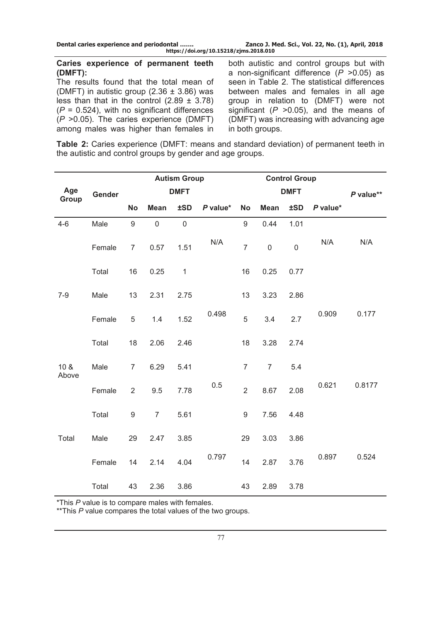### **Caries experience of permanent teeth (DMFT):**

The results found that the total mean of (DMFT) in autistic group  $(2.36 \pm 3.86)$  was less than that in the control  $(2.89 \pm 3.78)$  $(P = 0.524)$ , with no significant differences (*P* >0.05). The caries experience (DMFT) among males was higher than females in

both autistic and control groups but with a non-significant difference (*P* >0.05) as seen in Table 2. The statistical differences between males and females in all age group in relation to (DMFT) were not significant (*P* >0.05), and the means of (DMFT) was increasing with advancing age in both groups.

**Table 2:** Caries experience (DMFT: means and standard deviation) of permanent teeth in the autistic and control groups by gender and age groups.

|                          |        |                  |                     | <b>Autism Group</b> |          |                  | <b>Control Group</b> |             |            |        |
|--------------------------|--------|------------------|---------------------|---------------------|----------|------------------|----------------------|-------------|------------|--------|
| Age<br>Group             | Gender | <b>DMFT</b>      |                     |                     |          | <b>DMFT</b>      | P value**            |             |            |        |
|                          |        | <b>No</b>        | <b>Mean</b>         | <b>±SD</b>          | P value* | <b>No</b>        | <b>Mean</b>          | ±SD         | $P$ value* |        |
| $4 - 6$                  | Male   | $9\,$            | $\mathsf{O}\xspace$ | $\mathbf 0$         |          | $\boldsymbol{9}$ | 0.44                 | 1.01        |            |        |
|                          | Female | $\overline{7}$   | 0.57                | 1.51                | N/A      | $\overline{7}$   | $\mathbf 0$          | $\mathbf 0$ | N/A        | N/A    |
|                          | Total  | 16               | 0.25                | $\mathbf{1}$        |          | 16               | 0.25                 | 0.77        |            |        |
| $7-9$                    | Male   | 13               | 2.31                | 2.75                |          | 13               | 3.23                 | 2.86        |            |        |
|                          | Female | 5                | 1.4                 | 1.52                | 0.498    | 5                | 3.4                  | 2.7         | 0.909      | 0.177  |
|                          | Total  | 18               | 2.06                | 2.46                |          | 18               | 3.28                 | 2.74        |            |        |
| 10 <sub>8</sub><br>Above | Male   | $\overline{7}$   | 6.29                | 5.41                |          | $\overline{7}$   | $\overline{7}$       | 5.4         |            |        |
|                          | Female | $\overline{2}$   | 9.5                 | 7.78                | 0.5      | $\overline{2}$   | 8.67                 | 2.08        | 0.621      | 0.8177 |
|                          | Total  | $\boldsymbol{9}$ | $\overline{7}$      | 5.61                |          | $\boldsymbol{9}$ | 7.56                 | 4.48        |            |        |
| Total                    | Male   | 29               | 2.47                | 3.85                |          | 29               | 3.03                 | 3.86        |            |        |
|                          | Female | 14               | 2.14                | 4.04                | 0.797    | 14               | 2.87                 | 3.76        | 0.897      | 0.524  |
|                          | Total  | 43               | 2.36                | 3.86                |          | 43               | 2.89                 | 3.78        |            |        |

\*This *P* value is to compare males with females.

\*\*This *P* value compares the total values of the two groups.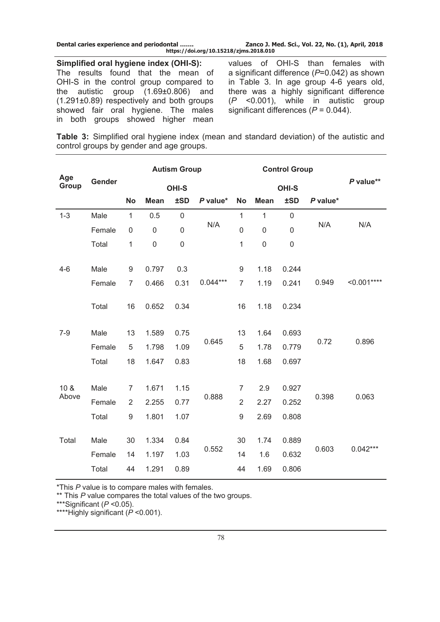| Dental caries experience and periodontal | Zanco J. Med. Sci., Vol. 22, No. (1), April, 2018 |
|------------------------------------------|---------------------------------------------------|
| https://doi.org/10.15218/zjms.2018.010   |                                                   |

**Simplified oral hygiene index (OHI-S):** The results found that the mean of OHI-S in the control group compared to the autistic group (1.69±0.806) and (1.291±0.89) respectively and both groups showed fair oral hygiene. The males in both groups showed higher mean values of OHI-S than females with a significant difference (*P*=0.042) as shown in Table 3. In age group 4-6 years old, there was a highly significant difference (*P* <0.001), while in autistic group significant differences (*P* = 0.044).

**Table 3:** Simplified oral hygiene index (mean and standard deviation) of the autistic and control groups by gender and age groups.

| Age             |        | <b>Autism Group</b> |             |             |            | <b>Control Group</b> |                |             |          |              |
|-----------------|--------|---------------------|-------------|-------------|------------|----------------------|----------------|-------------|----------|--------------|
| Gender<br>Group |        | <b>OHI-S</b>        |             |             |            |                      | OHI-S          | P value**   |          |              |
|                 |        | <b>No</b>           | <b>Mean</b> | ±SD         | P value*   | <b>No</b>            | <b>Mean</b>    | ±SD         | P value* |              |
| $1 - 3$         | Male   | $\mathbf{1}$        | 0.5         | $\mathbf 0$ |            | $\mathbf{1}$         | $\mathbf{1}$   | $\mathbf 0$ | N/A      |              |
|                 | Female | $\mathbf 0$         | $\mathbf 0$ | $\mathsf 0$ | N/A        | $\mathsf 0$          | $\overline{0}$ | $\mathbf 0$ |          | N/A          |
|                 | Total  | 1                   | $\mathbf 0$ | $\mathbf 0$ |            | 1                    | $\mathbf 0$    | $\mathbf 0$ |          |              |
| $4-6$           | Male   | 9                   | 0.797       | 0.3         |            | 9                    | 1.18           | 0.244       |          |              |
|                 | Female | $\overline{7}$      | 0.466       | 0.31        | $0.044***$ | $\overline{7}$       | 1.19           | 0.241       | 0.949    | $< 0.001***$ |
|                 | Total  | 16                  | 0.652       | 0.34        |            | 16                   | 1.18           | 0.234       |          |              |
| $7 - 9$         | Male   | 13                  | 1.589       | 0.75        |            | 13                   | 1.64           | 0.693       |          |              |
|                 | Female | 5                   | 1.798       | 1.09        | 0.645      | 5                    | 1.78           | 0.779       | 0.72     | 0.896        |
|                 | Total  | 18                  | 1.647       | 0.83        |            | 18                   | 1.68           | 0.697       |          |              |
| 10 <sub>8</sub> | Male   | $\overline{7}$      | 1.671       | 1.15        |            | $\overline{7}$       | 2.9            | 0.927       |          |              |
| Above           | Female | 2                   | 2.255       | 0.77        | 0.888      | $\overline{2}$       | 2.27           | 0.252       | 0.398    | 0.063        |
|                 | Total  | 9                   | 1.801       | 1.07        |            | 9                    | 2.69           | 0.808       |          |              |
| Total           | Male   | 30                  | 1.334       | 0.84        | 0.552      | 30                   | 1.74           | 0.889       | 0.603    |              |
|                 | Female | 14                  | 1.197       | 1.03        |            | 14                   | 1.6            | 0.632       |          | $0.042***$   |
|                 | Total  | 44                  | 1.291       | 0.89        |            | 44                   | 1.69           | 0.806       |          |              |

\*This *P* value is to compare males with females.

\*\* This *P* value compares the total values of the two groups.

\*\*\*Significant (*P* <0.05).

\*\*\*\*Highly significant (*P* <0.001).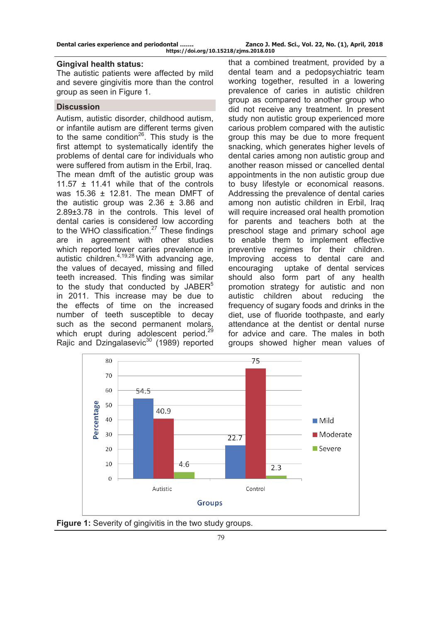#### **Gingival health status:**

The autistic patients were affected by mild and severe gingivitis more than the control group as seen in Figure 1.

### **Discussion**

Autism, autistic disorder, childhood autism, or infantile autism are different terms given to the same condition<sup>26</sup>. This study is the first attempt to systematically identify the problems of dental care for individuals who were suffered from autism in the Erbil, Iraq. The mean dmft of the autistic group was 11.57 ± 11.41 while that of the controls was 15.36 ± 12.81. The mean DMFT of the autistic group was  $2.36 \pm 3.86$  and 2.89±3.78 in the controls. This level of dental caries is considered low according to the WHO classification.<sup>27</sup> These findings are in agreement with other studies which reported lower caries prevalence in autistic children. $4,19,28$  With advancing age, the values of decayed, missing and filled teeth increased. This finding was similar to the study that conducted by JABER $5$ in 2011. This increase may be due to the effects of time on the increased number of teeth susceptible to decay such as the second permanent molars, which erupt during adolescent period.<sup>29</sup> Rajic and Dzingalasevic $30$  (1989) reported

that a combined treatment, provided by a dental team and a pedopsychiatric team working together, resulted in a lowering prevalence of caries in autistic children group as compared to another group who did not receive any treatment. In present study non autistic group experienced more carious problem compared with the autistic group this may be due to more frequent snacking, which generates higher levels of dental caries among non autistic group and another reason missed or cancelled dental appointments in the non autistic group due to busy lifestyle or economical reasons. Addressing the prevalence of dental caries among non autistic children in Erbil, Iraq will require increased oral health promotion for parents and teachers both at the preschool stage and primary school age to enable them to implement effective preventive regimes for their children. Improving access to dental care and encouraging uptake of dental services should also form part of any health promotion strategy for autistic and non autistic children about reducing the frequency of sugary foods and drinks in the diet, use of fluoride toothpaste, and early attendance at the dentist or dental nurse for advice and care. The males in both groups showed higher mean values of



**Figure 1:** Severity of gingivitis in the two study groups.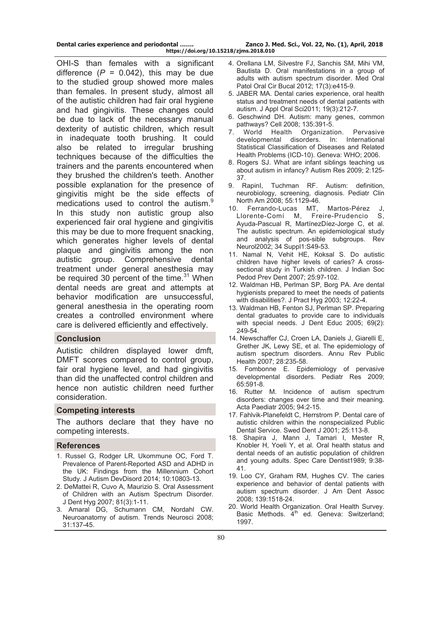OHI-S than females with a significant difference  $(P = 0.042)$ , this may be due to the studied group showed more males than females. In present study, almost all of the autistic children had fair oral hygiene and had gingivitis. These changes could be due to lack of the necessary manual dexterity of autistic children, which result in inadequate tooth brushing. It could also be related to irregular brushing techniques because of the difficulties the trainers and the parents encountered when they brushed the children's teeth. Another possible explanation for the presence of gingivitis might be the side effects of medications used to control the autism.<sup>9</sup> In this study non autistic group also experienced fair oral hygiene and gingivitis this may be due to more frequent snacking, which generates higher levels of dental plaque and gingivitis among the non autistic group. Comprehensive dental treatment under general anesthesia may be required 30 percent of the time. $31$  When dental needs are great and attempts at behavior modification are unsuccessful, general anesthesia in the operating room creates a controlled environment where care is delivered efficiently and effectively.

## **Conclusion**

Autistic children displayed lower dmft, DMFT scores compared to control group, fair oral hygiene level, and had gingivitis than did the unaffected control children and hence non autistic children need further consideration.

#### **Competing interests**

The authors declare that they have no competing interests.

#### **References**

- 1. Russel G, Rodger LR, Ukommune OC, Ford T. Prevalence of Parent-Reported ASD and ADHD in the UK: Findings from the Millennium Cohort Study. J Autism DevDisord 2014; 10:10803-13.
- 2. DeMattei R, Cuvo A, Maurizio S. Oral Assessment of Children with an Autism Spectrum Disorder. J Dent Hyg 2007; 81(3):1-11.
- 3. Amaral DG, Schumann CM, Nordahl CW. Neuroanatomy of autism. Trends Neurosci 2008; 31:137-45.
- 4. Orellana LM, Silvestre FJ, Sanchis SM, Mihi VM, Bautista D. Oral manifestations in a group of adults with autism spectrum disorder. Med Oral Patol Oral Cir Bucal 2012; 17(3):e415-9.
- 5. JABER MA. Dental caries experience, oral health status and treatment needs of dental patients with autism. J Appl Oral Sci2011; 19(3):212-7.
- 6. Geschwind DH. Autism: many genes, common pathways? Cell 2008; 135:391-5.
- 7. World Health Organization. Pervasive developmental disorders. In: International Statistical Classification of Diseases and Related Health Problems (ICD-10). Geneva: WHO; 2006.
- 8. Rogers SJ. What are infant siblings teaching us about autism in infancy? Autism Res 2009; 2:125- 37.
- 9. RapinI, Tuchman RF. Autism: definition, neurobiology, screening, diagnosis. Pediatr Clin North Am 2008; 55:1129-46.
- 10. Ferrando-Lucas MT, Martos-Pérez J, Llorente-Comí M, Freire-Prudencio S, Ayuda-Pascual R, MartínezDíez-Jorge C, et al. The autistic spectrum. An epidemiological study and analysis of pos-sible subgroups. Rev Neurol2002; 34 Suppl1:S49-53.
- 11. Namal N, Vehit HE, Koksal S. Do autistic children have higher levels of caries? A crosssectional study in Turkish children. J Indian Soc Pedod Prev Dent 2007; 25:97-102.
- 12. Waldman HB, Perlman SP, Borg PA. Are dental hygienists prepared to meet the needs of patients with disabilities?. J Pract Hyg 2003; 12:22-4.
- 13. Waldman HB, Fenton SJ, Perlman SP. Preparing dental graduates to provide care to individuals with special needs. J Dent Educ 2005; 69(2): 249-54.
- 14. Newschaffer CJ, Croen LA, Daniels J, Giarelli E, Grether JK, Lewy SE, et al. The epidemiology of autism spectrum disorders. Annu Rev Public Health 2007; 28:235-58.
- 15. Fombonne E. Epidemiology of pervasive developmental disorders. Pediatr Res 2009; 65:591-8.
- 16. Rutter M. Incidence of autism spectrum disorders: changes over time and their meaning. Acta Paediatr 2005; 94:2-15.
- 17. Fahlvik-Planefeldt C, Herrstrom P. Dental care of autistic children within the nonspecialized Public Dental Service. Swed Dent J 2001; 25:113-8.
- 18. Shapira J, Mann J, Tamari I, Mester R, Knobler H, Yoeli Y, et al. Oral health status and dental needs of an autistic population of children and young adults. Spec Care Dentist1989; 9:38- 41.
- 19. Loo CY, Graham RM, Hughes CV. The caries experience and behavior of dental patients with autism spectrum disorder. J Am Dent Assoc 2008; 139:1518-24.
- 20. World Health Organization. Oral Health Survey. Basic Methods. 4<sup>th</sup> ed. Geneva: Switzerland; 1997.